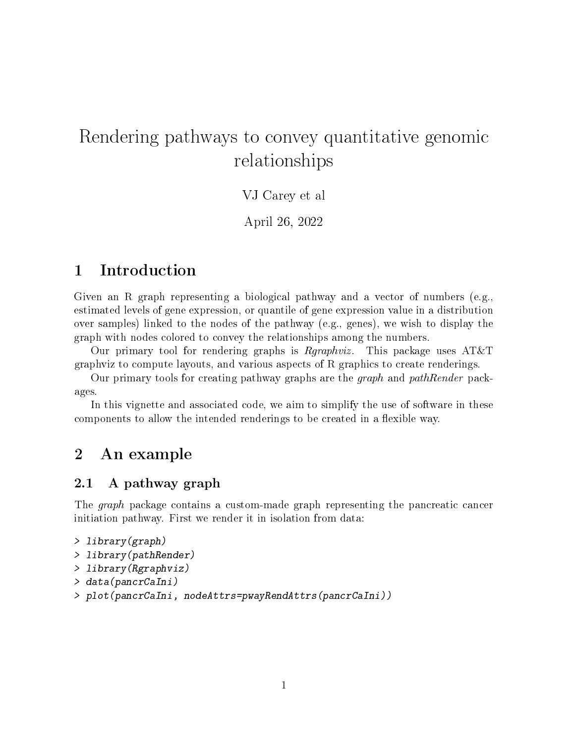# Rendering pathways to convey quantitative genomic relationships

## VJ Carey et al

April 26, 2022

# 1 Introduction

Given an R graph representing a biological pathway and a vector of numbers (e.g., estimated levels of gene expression, or quantile of gene expression value in a distribution over samples) linked to the nodes of the pathway (e.g., genes), we wish to display the graph with nodes colored to convey the relationships among the numbers.

Our primary tool for rendering graphs is  $Rgraphviz$ . This package uses  $AT&T$ graphviz to compute layouts, and various aspects of R graphics to create renderings.

Our primary tools for creating pathway graphs are the graph and pathRender packages.

In this vignette and associated code, we aim to simplify the use of software in these components to allow the intended renderings to be created in a flexible way.

## 2 An example

## 2.1 A pathway graph

The *graph* package contains a custom-made graph representing the pancreatic cancer initiation pathway. First we render it in isolation from data:

```
> library(graph)
> library(pathRender)
> library(Rgraphviz)
> data(pancrCaIni)
> plot(pancrCaIni, nodeAttrs=pwayRendAttrs(pancrCaIni))
```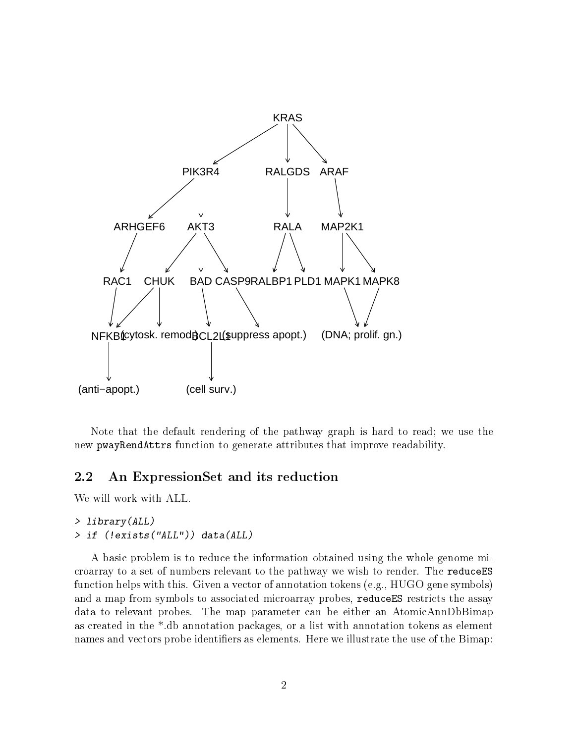

Note that the default rendering of the pathway graph is hard to read; we use the new pwayRendAttrs function to generate attributes that improve readability.

#### 2.2 An ExpressionSet and its reduction

We will work with ALL.

#### > library(ALL) > if (!exists("ALL")) data(ALL)

A basic problem is to reduce the information obtained using the whole-genome microarray to a set of numbers relevant to the pathway we wish to render. The reduceES function helps with this. Given a vector of annotation tokens (e.g., HUGO gene symbols) and a map from symbols to associated microarray probes, reduceES restricts the assay data to relevant probes. The map parameter can be either an AtomicAnnDbBimap as created in the \*.db annotation packages, or a list with annotation tokens as element names and vectors probe identifiers as elements. Here we illustrate the use of the Bimap: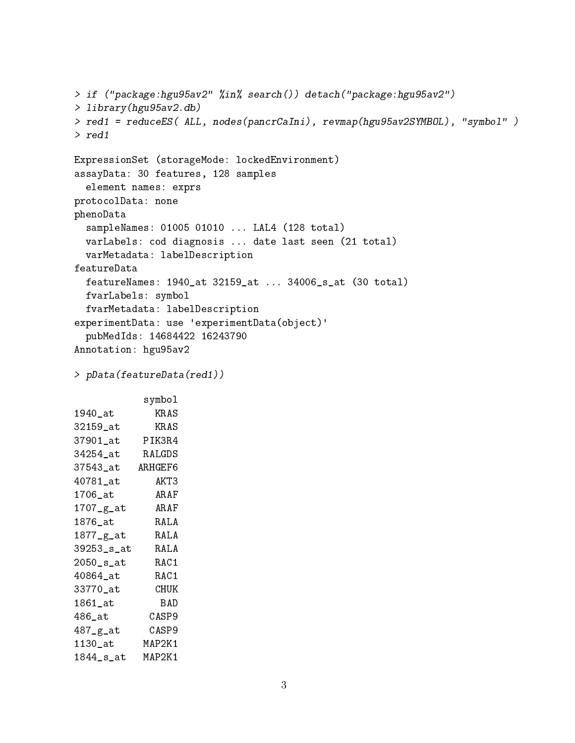```
> if ("package:hgu95av2" %in% search()) detach("package:hgu95av2")
> library(hgu95av2.db)
> red1 = reduceES( ALL, nodes(pancrCaIni), revmap(hgu95av2SYMBOL), "symbol" )
> red1
ExpressionSet (storageMode: lockedEnvironment)
assayData: 30 features, 128 samples
  element names: exprs
protocolData: none
phenoData
  sampleNames: 01005 01010 ... LAL4 (128 total)
 varLabels: cod diagnosis ... date last seen (21 total)
 varMetadata: labelDescription
featureData
 featureNames: 1940_at 32159_at ... 34006_s_at (30 total)
 fvarLabels: symbol
 fvarMetadata: labelDescription
experimentData: use 'experimentData(object)'
 pubMedIds: 14684422 16243790
Annotation: hgu95av2
> pData(featureData(red1))
            symbol
1940_at KRAS
32159_at KRAS
37901_at PIK3R4
34254_at RALGDS
37543_at ARHGEF6
```

| ulu <del>l</del> u au     | AIUIULI V |
|---------------------------|-----------|
| $40781$ at                | AKT3      |
| 1706_at                   | ARAF      |
| $1707 - g$ <sub>-at</sub> | ARAF      |
| $1876$ _at                | RALA      |
| 1877_g_at                 | RAL A     |
| 39253_s_at                | RAL A     |
| $2050$ _s_at              | RAC 1     |
| 40864 at                  | RAC1      |
| 33770_at                  | CHUK      |
| $1861$ $\_at$             | BAD       |
| 486_at                    | CASP9     |
| 487_g_at                  | CASP9     |
| $1130$ _at                | MAP2K1    |
| $1844$ _ $s$ _at          | MAP2K1    |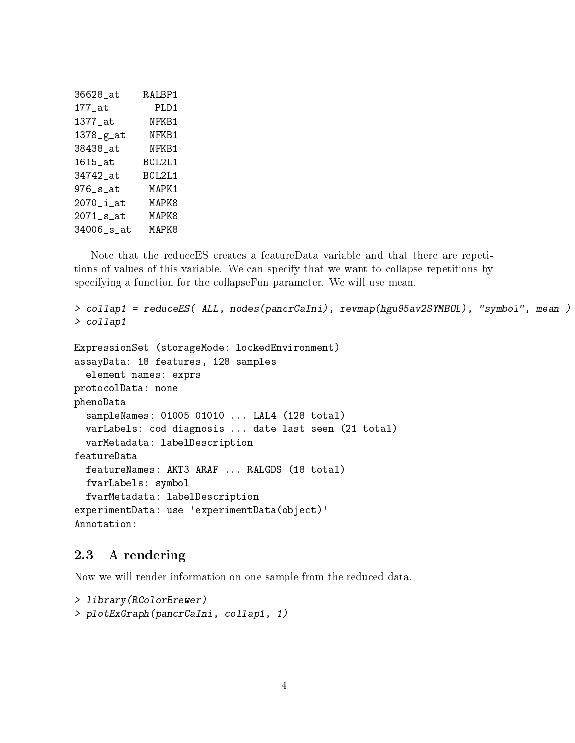| 36628 at        | RALBP1 |
|-----------------|--------|
| $177$ _at       | PLD1   |
| 1377_at         | NFKB1  |
| 1378_g_at       | NFKB1  |
| 38438 at        | NFKB1  |
| 1615 at         | BCL2L1 |
| 34742 at        | BCL2L1 |
| $976$ _ $s$ _at | MAPK1  |
| $2070$ _i_at    | MAPK8  |
| $2071$ _s_at    | MAPK8  |
| 34006_s_at      | MAPK8  |
|                 |        |

Note that the reduceES creates a featureData variable and that there are repetitions of values of this variable. We can specify that we want to collapse repetitions by specifying a function for the collapseFun parameter. We will use mean.

```
> collap1 = reduceES( ALL, nodes(pancrCaIni), revmap(hgu95av2SYMBOL), "symbol", mean )
> collap1
ExpressionSet (storageMode: lockedEnvironment)
assayData: 18 features, 128 samples
  element names: exprs
protocolData: none
phenoData
  sampleNames: 01005 01010 ... LAL4 (128 total)
  varLabels: cod diagnosis ... date last seen (21 total)
  varMetadata: labelDescription
featureData
  featureNames: AKT3 ARAF ... RALGDS (18 total)
  fvarLabels: symbol
  fvarMetadata: labelDescription
experimentData: use 'experimentData(object)'
Annotation:
```
#### 2.3 A rendering

Now we will render information on one sample from the reduced data.

```
> library(RColorBrewer)
> plotExGraph(pancrCaIni, collap1, 1)
```